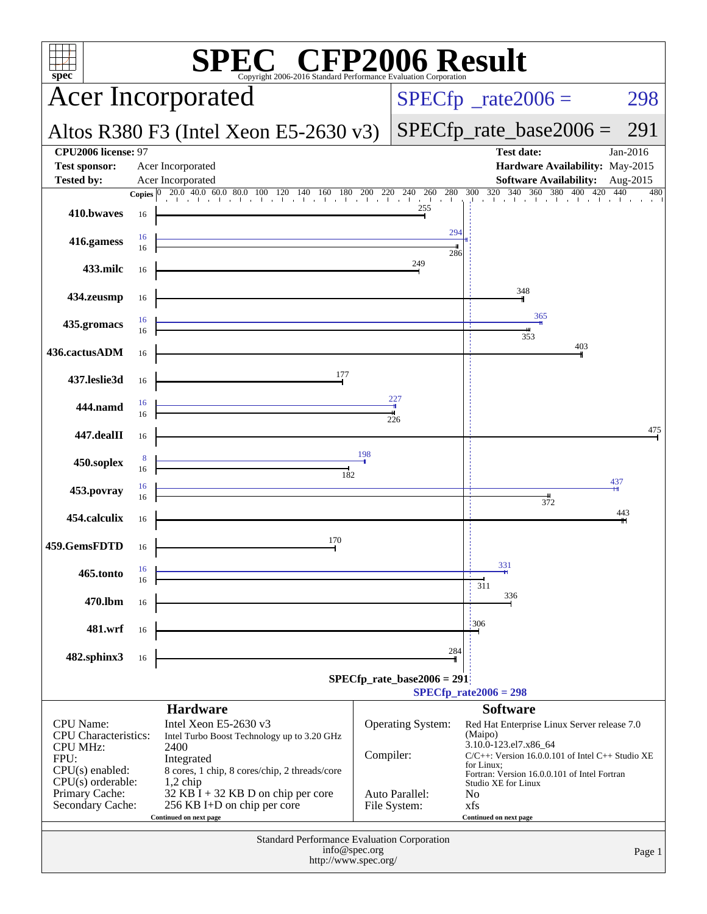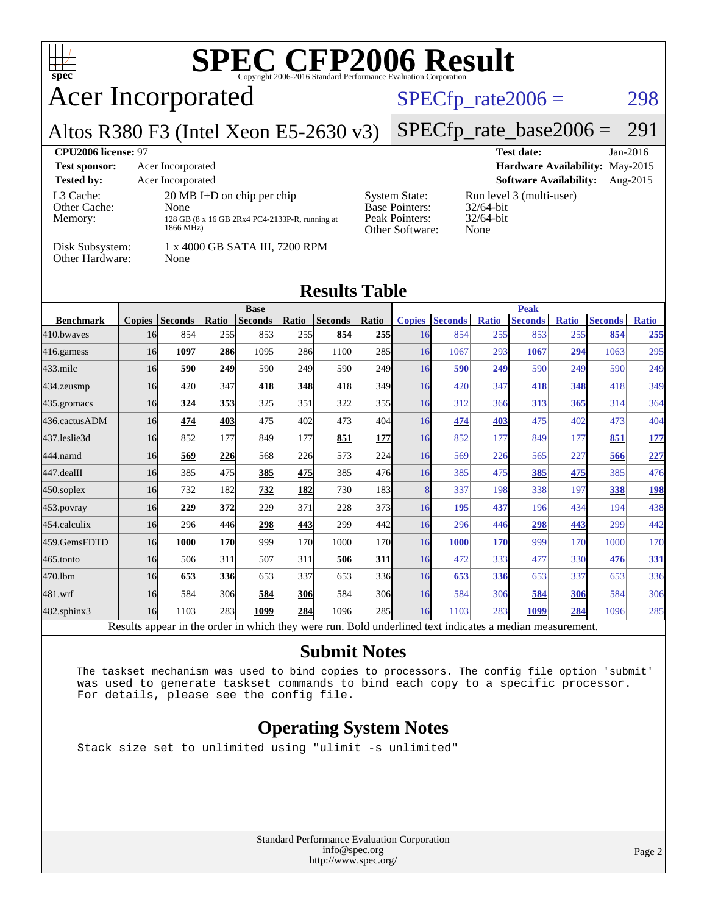| <b>SPEC CFP2006 Result</b><br>$spec^{\circ}$<br>Copyright 2006-2016 Standard Performance Evaluation Corporation                                                                                                                                                                                                                                                                           |                |                             |       |                                               |       |                |              |               |                                                              |              |                               |              |                |              |
|-------------------------------------------------------------------------------------------------------------------------------------------------------------------------------------------------------------------------------------------------------------------------------------------------------------------------------------------------------------------------------------------|----------------|-----------------------------|-------|-----------------------------------------------|-------|----------------|--------------|---------------|--------------------------------------------------------------|--------------|-------------------------------|--------------|----------------|--------------|
| <b>Acer Incorporated</b>                                                                                                                                                                                                                                                                                                                                                                  |                | $SPECfp\_rate2006 =$<br>298 |       |                                               |       |                |              |               |                                                              |              |                               |              |                |              |
| Altos R380 F3 (Intel Xeon E5-2630 v3)                                                                                                                                                                                                                                                                                                                                                     |                |                             |       |                                               |       |                |              |               | $SPECfp\_rate\_base2006 =$                                   |              |                               |              |                | 291          |
| <b>CPU2006 license: 97</b><br><b>Test date:</b><br>Jan-2016<br><b>Test sponsor:</b><br>Acer Incorporated<br>Hardware Availability: May-2015<br><b>Tested by:</b><br><b>Software Availability:</b><br>Aug-2015<br>Acer Incorporated                                                                                                                                                        |                |                             |       |                                               |       |                |              |               |                                                              |              |                               |              |                |              |
| 20 MB I+D on chip per chip<br>L <sub>3</sub> Cache:<br><b>System State:</b><br>Run level 3 (multi-user)<br><b>Base Pointers:</b><br>Other Cache:<br>None<br>32/64-bit<br>Peak Pointers:<br>32/64-bit<br>Memory:<br>128 GB (8 x 16 GB 2Rx4 PC4-2133P-R, running at<br>1866 MHz)<br>Other Software:<br>None<br>Disk Subsystem:<br>1 x 4000 GB SATA III, 7200 RPM<br>Other Hardware:<br>None |                |                             |       |                                               |       |                |              |               |                                                              |              |                               |              |                |              |
| <b>Results Table</b>                                                                                                                                                                                                                                                                                                                                                                      |                |                             |       |                                               |       |                |              |               |                                                              |              |                               |              |                |              |
| <b>Benchmark</b>                                                                                                                                                                                                                                                                                                                                                                          | <b>Copies</b>  | <b>Seconds</b>              | Ratio | <b>Base</b><br><b>Seconds</b>                 | Ratio | <b>Seconds</b> | <b>Ratio</b> | <b>Copies</b> | <b>Seconds</b>                                               | <b>Ratio</b> | <b>Peak</b><br><b>Seconds</b> | <b>Ratio</b> | <b>Seconds</b> | <b>Ratio</b> |
| 410.bwaves                                                                                                                                                                                                                                                                                                                                                                                | 16             | 854                         | 255   | 853                                           | 255   | 854            | 255          | 16            | 854                                                          | 255          | 853                           | 255          | 854            | 255          |
| $ 416$ .gamess                                                                                                                                                                                                                                                                                                                                                                            | 16             | 1097                        | 286   | 1095                                          | 286   | 1100           | 285          | 16            | 1067                                                         | 293          | 1067                          | 294          | 1063           | 295          |
| 433.milc                                                                                                                                                                                                                                                                                                                                                                                  | 16             | 590                         | 249   | 590                                           | 249   | 590            | 249          | 16            | 590                                                          | 249          | 590                           | 249          | 590            | 249          |
| $ 434$ . zeusmp                                                                                                                                                                                                                                                                                                                                                                           | 16             | 420                         | 347   | 418                                           | 348   | 418            | 349          | 16            | 420                                                          | 347          | 418                           | 348          | 418            | 349          |
| 435.gromacs                                                                                                                                                                                                                                                                                                                                                                               | 16             | 324                         | 353   | 325                                           | 351   | 322            | 355          | 16            | 312                                                          | 366          | 313                           | 365          | 314            | 364          |
| 436.cactusADM                                                                                                                                                                                                                                                                                                                                                                             | 16             | 474                         | 403   | 475                                           | 402   | 473            | 404          | 16            | 474                                                          | 403          | 475                           | 402          | 473            | 404          |
| 437.leslie3d                                                                                                                                                                                                                                                                                                                                                                              | 16             | 852                         | 177   | 849                                           | 177   | 851            | 177          | 16            | 852                                                          | 177          | 849                           | 177          | 851            | 177          |
| 444.namd                                                                                                                                                                                                                                                                                                                                                                                  | 16             | 569                         | 226   | 568                                           | 226   | 573            | 224          | 16            | 569                                                          | 226          | 565                           | 227          | 566            | 227          |
| 447.dealII                                                                                                                                                                                                                                                                                                                                                                                | 16             | 385                         | 475   | 385                                           | 475   | 385            | 476          | 16            | 385                                                          | 475          | 385                           | 475          | 385            | 476          |
| $450$ .soplex                                                                                                                                                                                                                                                                                                                                                                             | 16             | 732                         | 182   | 732                                           | 182   | 730            | 183          | 8             | 337                                                          | 198          | 338                           | 197          | 338            | 198          |
| $453$ . povray                                                                                                                                                                                                                                                                                                                                                                            | 16             | 229                         | 372   | 229                                           | 371   | 228            | 373          | 16            | 195                                                          | 437          | 196                           | 434          | 194            | 438          |
| 454.calculix                                                                                                                                                                                                                                                                                                                                                                              | 16             | 296                         | 446   | 298                                           | 443   | 299            | 442          | 16            | 296                                                          | 446          | 298                           | 443          | 299            | 442          |
| 459.GemsFDTD                                                                                                                                                                                                                                                                                                                                                                              | 16             | 1000                        | 170   | 999                                           | 170   | 1000           | 170          | 16            | <b>1000</b>                                                  | 170          | 999                           | 170          | 1000           | 170          |
| 465.tonto                                                                                                                                                                                                                                                                                                                                                                                 | 16             | 506                         | 311   | 507                                           | 311   | 506            | 311          | 16            | 472                                                          | 333          | 477                           | 330          | 476            | 331          |
| 470.1bm                                                                                                                                                                                                                                                                                                                                                                                   | 16             | 653                         | 336   | 653                                           | 337   | 653            | 336          | 16            | 653                                                          | 336          | 653                           | 337          | 653            | 336          |
| 481.wrf                                                                                                                                                                                                                                                                                                                                                                                   | 16             | 584                         | 306   | 584                                           | 306   | 584            | 306          | 16            | 584                                                          | 306          | 584                           | 306          | 584            | 306          |
| $ 482.\mathrm{sphinx}$                                                                                                                                                                                                                                                                                                                                                                    | 16<br>$D = 14$ | 1103<br>2.41                | 283   | 1099<br>ومراجعها والمستلم فالمتعارض والمتناور | 284   | 1096           | 285          | 16            | 1103<br>المحادثة والمتحدث والمحادث والمحادث والمنافذ المنافذ | 283          | 1099<br>$-11 -$               | 284          | 1096           | 285          |

Results appear in the [order in which they were run.](http://www.spec.org/auto/cpu2006/Docs/result-fields.html#RunOrder) Bold underlined text [indicates a median measurement.](http://www.spec.org/auto/cpu2006/Docs/result-fields.html#Median)

### **[Submit Notes](http://www.spec.org/auto/cpu2006/Docs/result-fields.html#SubmitNotes)**

 The taskset mechanism was used to bind copies to processors. The config file option 'submit' was used to generate taskset commands to bind each copy to a specific processor. For details, please see the config file.

### **[Operating System Notes](http://www.spec.org/auto/cpu2006/Docs/result-fields.html#OperatingSystemNotes)**

Stack size set to unlimited using "ulimit -s unlimited"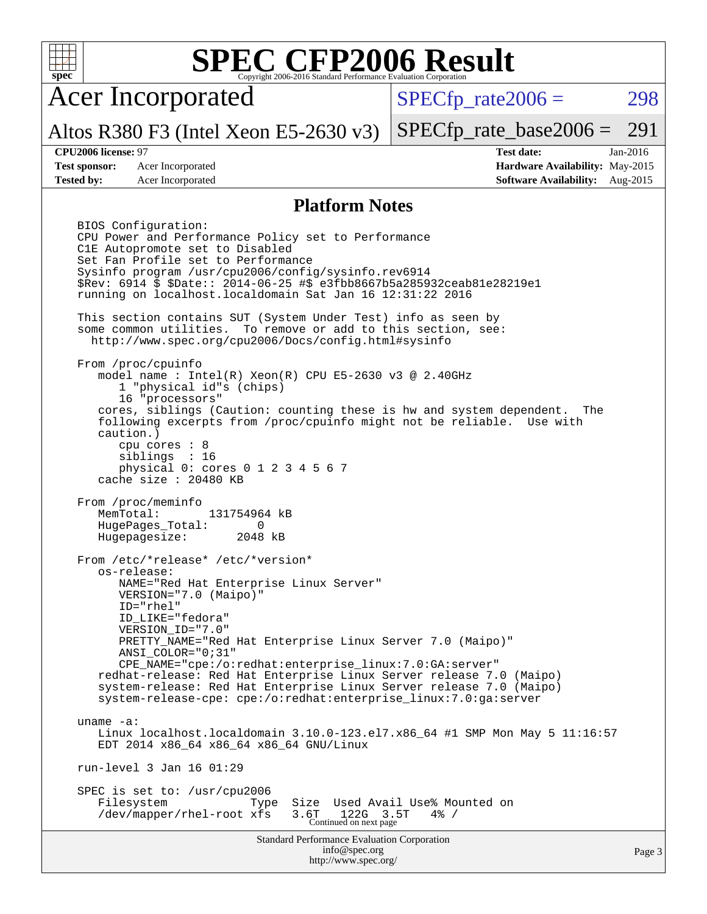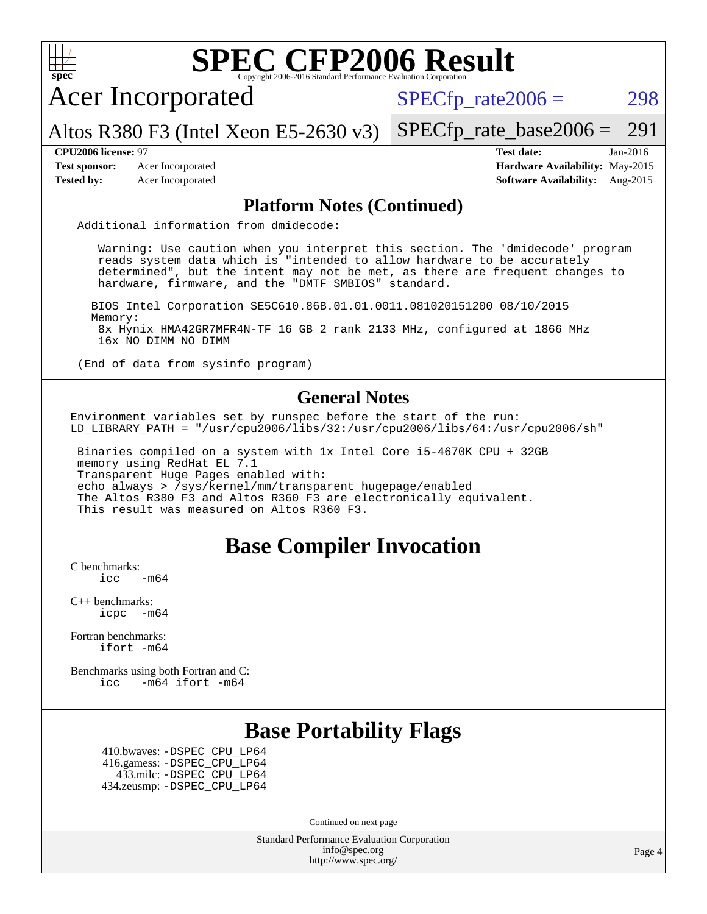

Continued on next page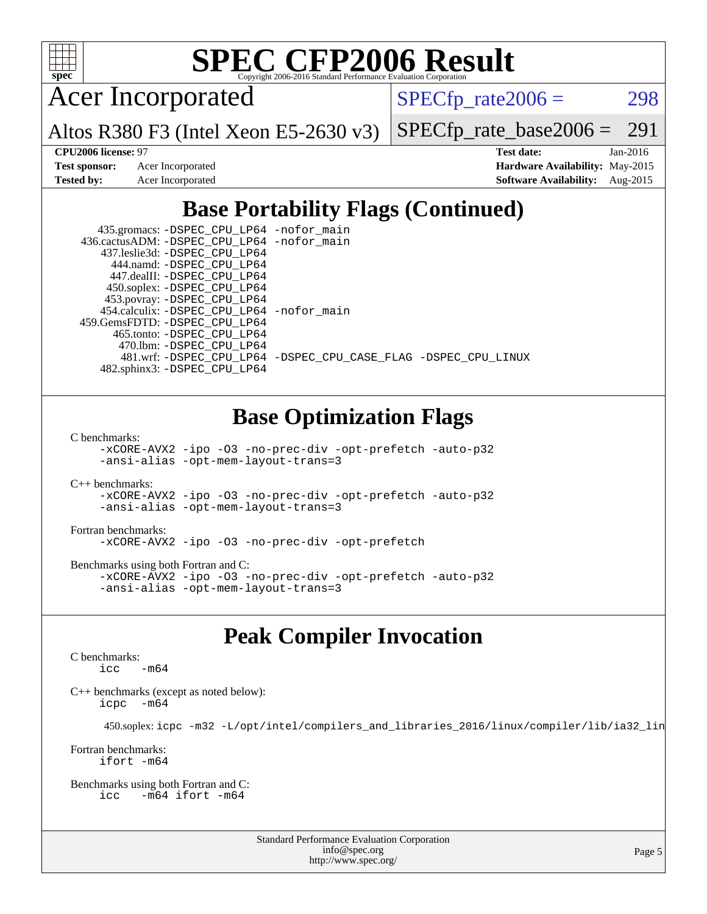

## **[SPEC CFP2006 Result](http://www.spec.org/auto/cpu2006/Docs/result-fields.html#SPECCFP2006Result)**

Acer Incorporated

 $SPECTp_rate2006 = 298$ 

[SPECfp\\_rate\\_base2006 =](http://www.spec.org/auto/cpu2006/Docs/result-fields.html#SPECfpratebase2006) 291

Altos R380 F3 (Intel Xeon E5-2630 v3)

**[CPU2006 license:](http://www.spec.org/auto/cpu2006/Docs/result-fields.html#CPU2006license)** 97 **[Test date:](http://www.spec.org/auto/cpu2006/Docs/result-fields.html#Testdate)** Jan-2016 **[Test sponsor:](http://www.spec.org/auto/cpu2006/Docs/result-fields.html#Testsponsor)** Acer Incorporated **[Hardware Availability:](http://www.spec.org/auto/cpu2006/Docs/result-fields.html#HardwareAvailability)** May-2015 **[Tested by:](http://www.spec.org/auto/cpu2006/Docs/result-fields.html#Testedby)** Acer Incorporated **[Software Availability:](http://www.spec.org/auto/cpu2006/Docs/result-fields.html#SoftwareAvailability)** Aug-2015

### **[Base Portability Flags \(Continued\)](http://www.spec.org/auto/cpu2006/Docs/result-fields.html#BasePortabilityFlags)**

| 435.gromacs: -DSPEC_CPU_LP64 -nofor_main   |                                                                |
|--------------------------------------------|----------------------------------------------------------------|
| 436.cactusADM: -DSPEC CPU LP64 -nofor main |                                                                |
| 437.leslie3d: -DSPEC CPU LP64              |                                                                |
| 444.namd: - DSPEC CPU LP64                 |                                                                |
| 447.dealII: -DSPEC CPU LP64                |                                                                |
| 450.soplex: -DSPEC_CPU_LP64                |                                                                |
| 453.povray: -DSPEC_CPU_LP64                |                                                                |
| 454.calculix: -DSPEC_CPU_LP64 -nofor_main  |                                                                |
| 459.GemsFDTD: -DSPEC CPU LP64              |                                                                |
| 465.tonto: -DSPEC CPU LP64                 |                                                                |
| 470.1bm: - DSPEC CPU LP64                  |                                                                |
|                                            | 481.wrf: -DSPEC CPU_LP64 -DSPEC_CPU_CASE_FLAG -DSPEC_CPU_LINUX |
| 482.sphinx3: -DSPEC CPU LP64               |                                                                |

### **[Base Optimization Flags](http://www.spec.org/auto/cpu2006/Docs/result-fields.html#BaseOptimizationFlags)**

[C benchmarks](http://www.spec.org/auto/cpu2006/Docs/result-fields.html#Cbenchmarks):

[-xCORE-AVX2](http://www.spec.org/cpu2006/results/res2016q1/cpu2006-20160216-39029.flags.html#user_CCbase_f-xAVX2_5f5fc0cbe2c9f62c816d3e45806c70d7) [-ipo](http://www.spec.org/cpu2006/results/res2016q1/cpu2006-20160216-39029.flags.html#user_CCbase_f-ipo) [-O3](http://www.spec.org/cpu2006/results/res2016q1/cpu2006-20160216-39029.flags.html#user_CCbase_f-O3) [-no-prec-div](http://www.spec.org/cpu2006/results/res2016q1/cpu2006-20160216-39029.flags.html#user_CCbase_f-no-prec-div) [-opt-prefetch](http://www.spec.org/cpu2006/results/res2016q1/cpu2006-20160216-39029.flags.html#user_CCbase_f-opt-prefetch) [-auto-p32](http://www.spec.org/cpu2006/results/res2016q1/cpu2006-20160216-39029.flags.html#user_CCbase_f-auto-p32) [-ansi-alias](http://www.spec.org/cpu2006/results/res2016q1/cpu2006-20160216-39029.flags.html#user_CCbase_f-ansi-alias) [-opt-mem-layout-trans=3](http://www.spec.org/cpu2006/results/res2016q1/cpu2006-20160216-39029.flags.html#user_CCbase_f-opt-mem-layout-trans_a7b82ad4bd7abf52556d4961a2ae94d5)

[C++ benchmarks:](http://www.spec.org/auto/cpu2006/Docs/result-fields.html#CXXbenchmarks) [-xCORE-AVX2](http://www.spec.org/cpu2006/results/res2016q1/cpu2006-20160216-39029.flags.html#user_CXXbase_f-xAVX2_5f5fc0cbe2c9f62c816d3e45806c70d7) [-ipo](http://www.spec.org/cpu2006/results/res2016q1/cpu2006-20160216-39029.flags.html#user_CXXbase_f-ipo) [-O3](http://www.spec.org/cpu2006/results/res2016q1/cpu2006-20160216-39029.flags.html#user_CXXbase_f-O3) [-no-prec-div](http://www.spec.org/cpu2006/results/res2016q1/cpu2006-20160216-39029.flags.html#user_CXXbase_f-no-prec-div) [-opt-prefetch](http://www.spec.org/cpu2006/results/res2016q1/cpu2006-20160216-39029.flags.html#user_CXXbase_f-opt-prefetch) [-auto-p32](http://www.spec.org/cpu2006/results/res2016q1/cpu2006-20160216-39029.flags.html#user_CXXbase_f-auto-p32) [-ansi-alias](http://www.spec.org/cpu2006/results/res2016q1/cpu2006-20160216-39029.flags.html#user_CXXbase_f-ansi-alias) [-opt-mem-layout-trans=3](http://www.spec.org/cpu2006/results/res2016q1/cpu2006-20160216-39029.flags.html#user_CXXbase_f-opt-mem-layout-trans_a7b82ad4bd7abf52556d4961a2ae94d5)

[Fortran benchmarks](http://www.spec.org/auto/cpu2006/Docs/result-fields.html#Fortranbenchmarks): [-xCORE-AVX2](http://www.spec.org/cpu2006/results/res2016q1/cpu2006-20160216-39029.flags.html#user_FCbase_f-xAVX2_5f5fc0cbe2c9f62c816d3e45806c70d7) [-ipo](http://www.spec.org/cpu2006/results/res2016q1/cpu2006-20160216-39029.flags.html#user_FCbase_f-ipo) [-O3](http://www.spec.org/cpu2006/results/res2016q1/cpu2006-20160216-39029.flags.html#user_FCbase_f-O3) [-no-prec-div](http://www.spec.org/cpu2006/results/res2016q1/cpu2006-20160216-39029.flags.html#user_FCbase_f-no-prec-div) [-opt-prefetch](http://www.spec.org/cpu2006/results/res2016q1/cpu2006-20160216-39029.flags.html#user_FCbase_f-opt-prefetch)

[Benchmarks using both Fortran and C](http://www.spec.org/auto/cpu2006/Docs/result-fields.html#BenchmarksusingbothFortranandC): [-xCORE-AVX2](http://www.spec.org/cpu2006/results/res2016q1/cpu2006-20160216-39029.flags.html#user_CC_FCbase_f-xAVX2_5f5fc0cbe2c9f62c816d3e45806c70d7) [-ipo](http://www.spec.org/cpu2006/results/res2016q1/cpu2006-20160216-39029.flags.html#user_CC_FCbase_f-ipo) [-O3](http://www.spec.org/cpu2006/results/res2016q1/cpu2006-20160216-39029.flags.html#user_CC_FCbase_f-O3) [-no-prec-div](http://www.spec.org/cpu2006/results/res2016q1/cpu2006-20160216-39029.flags.html#user_CC_FCbase_f-no-prec-div) [-opt-prefetch](http://www.spec.org/cpu2006/results/res2016q1/cpu2006-20160216-39029.flags.html#user_CC_FCbase_f-opt-prefetch) [-auto-p32](http://www.spec.org/cpu2006/results/res2016q1/cpu2006-20160216-39029.flags.html#user_CC_FCbase_f-auto-p32) [-ansi-alias](http://www.spec.org/cpu2006/results/res2016q1/cpu2006-20160216-39029.flags.html#user_CC_FCbase_f-ansi-alias) [-opt-mem-layout-trans=3](http://www.spec.org/cpu2006/results/res2016q1/cpu2006-20160216-39029.flags.html#user_CC_FCbase_f-opt-mem-layout-trans_a7b82ad4bd7abf52556d4961a2ae94d5)

### **[Peak Compiler Invocation](http://www.spec.org/auto/cpu2006/Docs/result-fields.html#PeakCompilerInvocation)**

[C benchmarks](http://www.spec.org/auto/cpu2006/Docs/result-fields.html#Cbenchmarks):  $\text{icc}$   $-\text{m64}$ 

[C++ benchmarks \(except as noted below\):](http://www.spec.org/auto/cpu2006/Docs/result-fields.html#CXXbenchmarksexceptasnotedbelow) [icpc -m64](http://www.spec.org/cpu2006/results/res2016q1/cpu2006-20160216-39029.flags.html#user_CXXpeak_intel_icpc_64bit_bedb90c1146cab66620883ef4f41a67e)

450.soplex: [icpc -m32 -L/opt/intel/compilers\\_and\\_libraries\\_2016/linux/compiler/lib/ia32\\_lin](http://www.spec.org/cpu2006/results/res2016q1/cpu2006-20160216-39029.flags.html#user_peakCXXLD450_soplex_intel_icpc_b4f50a394bdb4597aa5879c16bc3f5c5)

[Fortran benchmarks](http://www.spec.org/auto/cpu2006/Docs/result-fields.html#Fortranbenchmarks): [ifort -m64](http://www.spec.org/cpu2006/results/res2016q1/cpu2006-20160216-39029.flags.html#user_FCpeak_intel_ifort_64bit_ee9d0fb25645d0210d97eb0527dcc06e)

[Benchmarks using both Fortran and C](http://www.spec.org/auto/cpu2006/Docs/result-fields.html#BenchmarksusingbothFortranandC): [icc -m64](http://www.spec.org/cpu2006/results/res2016q1/cpu2006-20160216-39029.flags.html#user_CC_FCpeak_intel_icc_64bit_0b7121f5ab7cfabee23d88897260401c) [ifort -m64](http://www.spec.org/cpu2006/results/res2016q1/cpu2006-20160216-39029.flags.html#user_CC_FCpeak_intel_ifort_64bit_ee9d0fb25645d0210d97eb0527dcc06e)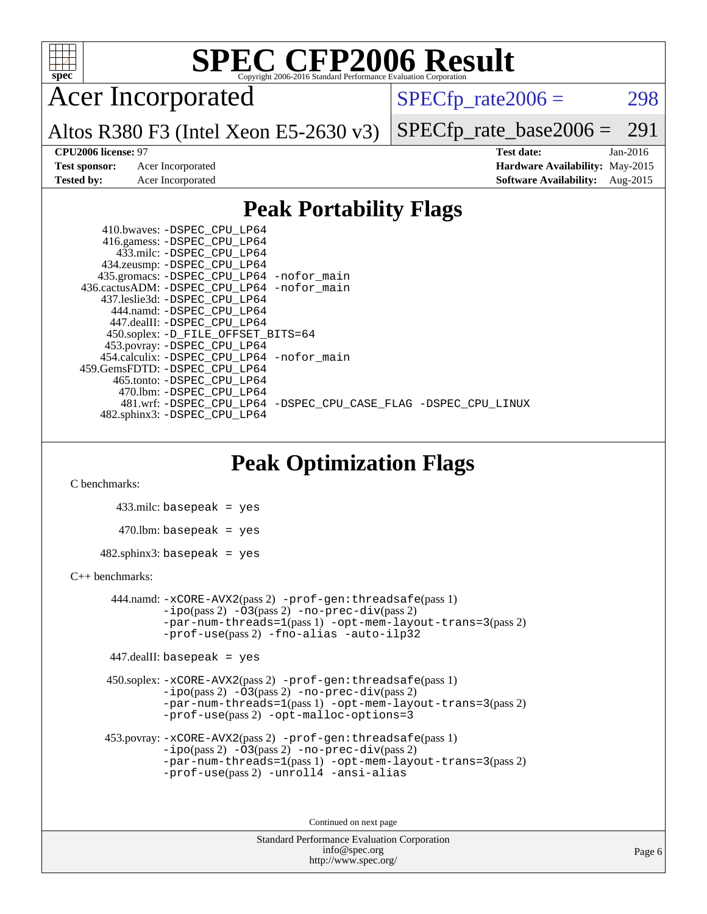

# **[SPEC CFP2006 Result](http://www.spec.org/auto/cpu2006/Docs/result-fields.html#SPECCFP2006Result)**

Acer Incorporated

 $SPECTp_rate2006 = 298$ 

Altos R380 F3 (Intel Xeon E5-2630 v3) [SPECfp\\_rate\\_base2006 =](http://www.spec.org/auto/cpu2006/Docs/result-fields.html#SPECfpratebase2006) 291

**[Tested by:](http://www.spec.org/auto/cpu2006/Docs/result-fields.html#Testedby)** Acer Incorporated **[Software Availability:](http://www.spec.org/auto/cpu2006/Docs/result-fields.html#SoftwareAvailability)** Aug-2015

**[CPU2006 license:](http://www.spec.org/auto/cpu2006/Docs/result-fields.html#CPU2006license)** 97 **[Test date:](http://www.spec.org/auto/cpu2006/Docs/result-fields.html#Testdate)** Jan-2016 **[Test sponsor:](http://www.spec.org/auto/cpu2006/Docs/result-fields.html#Testsponsor)** Acer Incorporated **[Hardware Availability:](http://www.spec.org/auto/cpu2006/Docs/result-fields.html#HardwareAvailability)** May-2015

### **[Peak Portability Flags](http://www.spec.org/auto/cpu2006/Docs/result-fields.html#PeakPortabilityFlags)**

 410.bwaves: [-DSPEC\\_CPU\\_LP64](http://www.spec.org/cpu2006/results/res2016q1/cpu2006-20160216-39029.flags.html#suite_peakPORTABILITY410_bwaves_DSPEC_CPU_LP64) 416.gamess: [-DSPEC\\_CPU\\_LP64](http://www.spec.org/cpu2006/results/res2016q1/cpu2006-20160216-39029.flags.html#suite_peakPORTABILITY416_gamess_DSPEC_CPU_LP64) 433.milc: [-DSPEC\\_CPU\\_LP64](http://www.spec.org/cpu2006/results/res2016q1/cpu2006-20160216-39029.flags.html#suite_peakPORTABILITY433_milc_DSPEC_CPU_LP64) 434.zeusmp: [-DSPEC\\_CPU\\_LP64](http://www.spec.org/cpu2006/results/res2016q1/cpu2006-20160216-39029.flags.html#suite_peakPORTABILITY434_zeusmp_DSPEC_CPU_LP64) 435.gromacs: [-DSPEC\\_CPU\\_LP64](http://www.spec.org/cpu2006/results/res2016q1/cpu2006-20160216-39029.flags.html#suite_peakPORTABILITY435_gromacs_DSPEC_CPU_LP64) [-nofor\\_main](http://www.spec.org/cpu2006/results/res2016q1/cpu2006-20160216-39029.flags.html#user_peakLDPORTABILITY435_gromacs_f-nofor_main) 436.cactusADM: [-DSPEC\\_CPU\\_LP64](http://www.spec.org/cpu2006/results/res2016q1/cpu2006-20160216-39029.flags.html#suite_peakPORTABILITY436_cactusADM_DSPEC_CPU_LP64) [-nofor\\_main](http://www.spec.org/cpu2006/results/res2016q1/cpu2006-20160216-39029.flags.html#user_peakLDPORTABILITY436_cactusADM_f-nofor_main) 437.leslie3d: [-DSPEC\\_CPU\\_LP64](http://www.spec.org/cpu2006/results/res2016q1/cpu2006-20160216-39029.flags.html#suite_peakPORTABILITY437_leslie3d_DSPEC_CPU_LP64) 444.namd: [-DSPEC\\_CPU\\_LP64](http://www.spec.org/cpu2006/results/res2016q1/cpu2006-20160216-39029.flags.html#suite_peakPORTABILITY444_namd_DSPEC_CPU_LP64) 447.dealII: [-DSPEC\\_CPU\\_LP64](http://www.spec.org/cpu2006/results/res2016q1/cpu2006-20160216-39029.flags.html#suite_peakPORTABILITY447_dealII_DSPEC_CPU_LP64) 450.soplex: [-D\\_FILE\\_OFFSET\\_BITS=64](http://www.spec.org/cpu2006/results/res2016q1/cpu2006-20160216-39029.flags.html#user_peakPORTABILITY450_soplex_file_offset_bits_64_438cf9856305ebd76870a2c6dc2689ab) 453.povray: [-DSPEC\\_CPU\\_LP64](http://www.spec.org/cpu2006/results/res2016q1/cpu2006-20160216-39029.flags.html#suite_peakPORTABILITY453_povray_DSPEC_CPU_LP64) 454.calculix: [-DSPEC\\_CPU\\_LP64](http://www.spec.org/cpu2006/results/res2016q1/cpu2006-20160216-39029.flags.html#suite_peakPORTABILITY454_calculix_DSPEC_CPU_LP64) [-nofor\\_main](http://www.spec.org/cpu2006/results/res2016q1/cpu2006-20160216-39029.flags.html#user_peakLDPORTABILITY454_calculix_f-nofor_main) 459.GemsFDTD: [-DSPEC\\_CPU\\_LP64](http://www.spec.org/cpu2006/results/res2016q1/cpu2006-20160216-39029.flags.html#suite_peakPORTABILITY459_GemsFDTD_DSPEC_CPU_LP64) 465.tonto: [-DSPEC\\_CPU\\_LP64](http://www.spec.org/cpu2006/results/res2016q1/cpu2006-20160216-39029.flags.html#suite_peakPORTABILITY465_tonto_DSPEC_CPU_LP64) 470.lbm: [-DSPEC\\_CPU\\_LP64](http://www.spec.org/cpu2006/results/res2016q1/cpu2006-20160216-39029.flags.html#suite_peakPORTABILITY470_lbm_DSPEC_CPU_LP64) 481.wrf: [-DSPEC\\_CPU\\_LP64](http://www.spec.org/cpu2006/results/res2016q1/cpu2006-20160216-39029.flags.html#suite_peakPORTABILITY481_wrf_DSPEC_CPU_LP64) [-DSPEC\\_CPU\\_CASE\\_FLAG](http://www.spec.org/cpu2006/results/res2016q1/cpu2006-20160216-39029.flags.html#b481.wrf_peakCPORTABILITY_DSPEC_CPU_CASE_FLAG) [-DSPEC\\_CPU\\_LINUX](http://www.spec.org/cpu2006/results/res2016q1/cpu2006-20160216-39029.flags.html#b481.wrf_peakCPORTABILITY_DSPEC_CPU_LINUX) 482.sphinx3: [-DSPEC\\_CPU\\_LP64](http://www.spec.org/cpu2006/results/res2016q1/cpu2006-20160216-39029.flags.html#suite_peakPORTABILITY482_sphinx3_DSPEC_CPU_LP64)

### **[Peak Optimization Flags](http://www.spec.org/auto/cpu2006/Docs/result-fields.html#PeakOptimizationFlags)**

[C benchmarks](http://www.spec.org/auto/cpu2006/Docs/result-fields.html#Cbenchmarks):

 433.milc: basepeak = yes  $470$ .lbm: basepeak = yes  $482$ .sphinx3: basepeak = yes

### [C++ benchmarks:](http://www.spec.org/auto/cpu2006/Docs/result-fields.html#CXXbenchmarks)

 444.namd: [-xCORE-AVX2](http://www.spec.org/cpu2006/results/res2016q1/cpu2006-20160216-39029.flags.html#user_peakPASS2_CXXFLAGSPASS2_LDFLAGS444_namd_f-xAVX2_5f5fc0cbe2c9f62c816d3e45806c70d7)(pass 2) [-prof-gen:threadsafe](http://www.spec.org/cpu2006/results/res2016q1/cpu2006-20160216-39029.flags.html#user_peakPASS1_CXXFLAGSPASS1_LDFLAGS444_namd_prof_gen_21a26eb79f378b550acd7bec9fe4467a)(pass 1)  $-i\text{po}(pass 2) -O3(pass 2)$  $-i\text{po}(pass 2) -O3(pass 2)$  $-i\text{po}(pass 2) -O3(pass 2)$  [-no-prec-div](http://www.spec.org/cpu2006/results/res2016q1/cpu2006-20160216-39029.flags.html#user_peakPASS2_CXXFLAGSPASS2_LDFLAGS444_namd_f-no-prec-div)(pass 2) [-par-num-threads=1](http://www.spec.org/cpu2006/results/res2016q1/cpu2006-20160216-39029.flags.html#user_peakPASS1_CXXFLAGSPASS1_LDFLAGS444_namd_par_num_threads_786a6ff141b4e9e90432e998842df6c2)(pass 1) [-opt-mem-layout-trans=3](http://www.spec.org/cpu2006/results/res2016q1/cpu2006-20160216-39029.flags.html#user_peakPASS2_CXXFLAGS444_namd_f-opt-mem-layout-trans_a7b82ad4bd7abf52556d4961a2ae94d5)(pass 2) [-prof-use](http://www.spec.org/cpu2006/results/res2016q1/cpu2006-20160216-39029.flags.html#user_peakPASS2_CXXFLAGSPASS2_LDFLAGS444_namd_prof_use_bccf7792157ff70d64e32fe3e1250b55)(pass 2) [-fno-alias](http://www.spec.org/cpu2006/results/res2016q1/cpu2006-20160216-39029.flags.html#user_peakCXXOPTIMIZE444_namd_f-no-alias_694e77f6c5a51e658e82ccff53a9e63a) [-auto-ilp32](http://www.spec.org/cpu2006/results/res2016q1/cpu2006-20160216-39029.flags.html#user_peakCXXOPTIMIZE444_namd_f-auto-ilp32)

447.dealII: basepeak = yes

 450.soplex: [-xCORE-AVX2](http://www.spec.org/cpu2006/results/res2016q1/cpu2006-20160216-39029.flags.html#user_peakPASS2_CXXFLAGSPASS2_LDFLAGS450_soplex_f-xAVX2_5f5fc0cbe2c9f62c816d3e45806c70d7)(pass 2) [-prof-gen:threadsafe](http://www.spec.org/cpu2006/results/res2016q1/cpu2006-20160216-39029.flags.html#user_peakPASS1_CXXFLAGSPASS1_LDFLAGS450_soplex_prof_gen_21a26eb79f378b550acd7bec9fe4467a)(pass 1)  $-i\text{po}(pass 2) -\overline{O}3(pass 2)$  [-no-prec-div](http://www.spec.org/cpu2006/results/res2016q1/cpu2006-20160216-39029.flags.html#user_peakPASS2_CXXFLAGSPASS2_LDFLAGS450_soplex_f-no-prec-div)(pass 2) [-par-num-threads=1](http://www.spec.org/cpu2006/results/res2016q1/cpu2006-20160216-39029.flags.html#user_peakPASS1_CXXFLAGSPASS1_LDFLAGS450_soplex_par_num_threads_786a6ff141b4e9e90432e998842df6c2)(pass 1) [-opt-mem-layout-trans=3](http://www.spec.org/cpu2006/results/res2016q1/cpu2006-20160216-39029.flags.html#user_peakPASS2_CXXFLAGS450_soplex_f-opt-mem-layout-trans_a7b82ad4bd7abf52556d4961a2ae94d5)(pass 2) [-prof-use](http://www.spec.org/cpu2006/results/res2016q1/cpu2006-20160216-39029.flags.html#user_peakPASS2_CXXFLAGSPASS2_LDFLAGS450_soplex_prof_use_bccf7792157ff70d64e32fe3e1250b55)(pass 2) [-opt-malloc-options=3](http://www.spec.org/cpu2006/results/res2016q1/cpu2006-20160216-39029.flags.html#user_peakOPTIMIZE450_soplex_f-opt-malloc-options_13ab9b803cf986b4ee62f0a5998c2238)

```
 453.povray: -xCORE-AVX2(pass 2) -prof-gen:threadsafe(pass 1)
-no-prec-div(pass 2)-par-num-threads=1(pass 1) -opt-mem-layout-trans=3(pass 2)
-prof-use(pass 2) -unroll4 -ansi-alias
```
Continued on next page

```
Standard Performance Evaluation Corporation
      info@spec.org
   http://www.spec.org/
```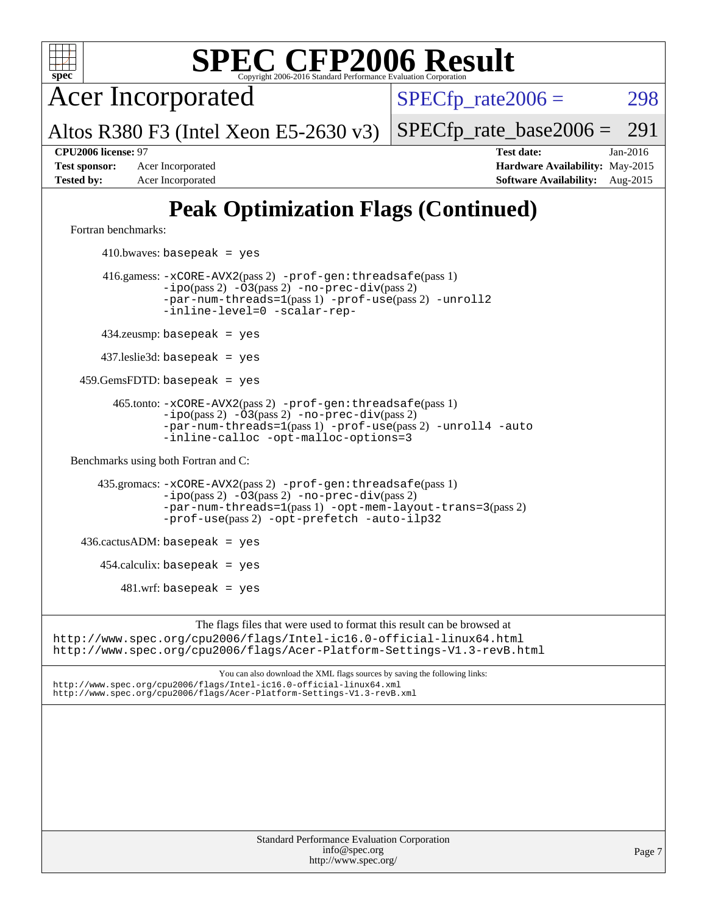